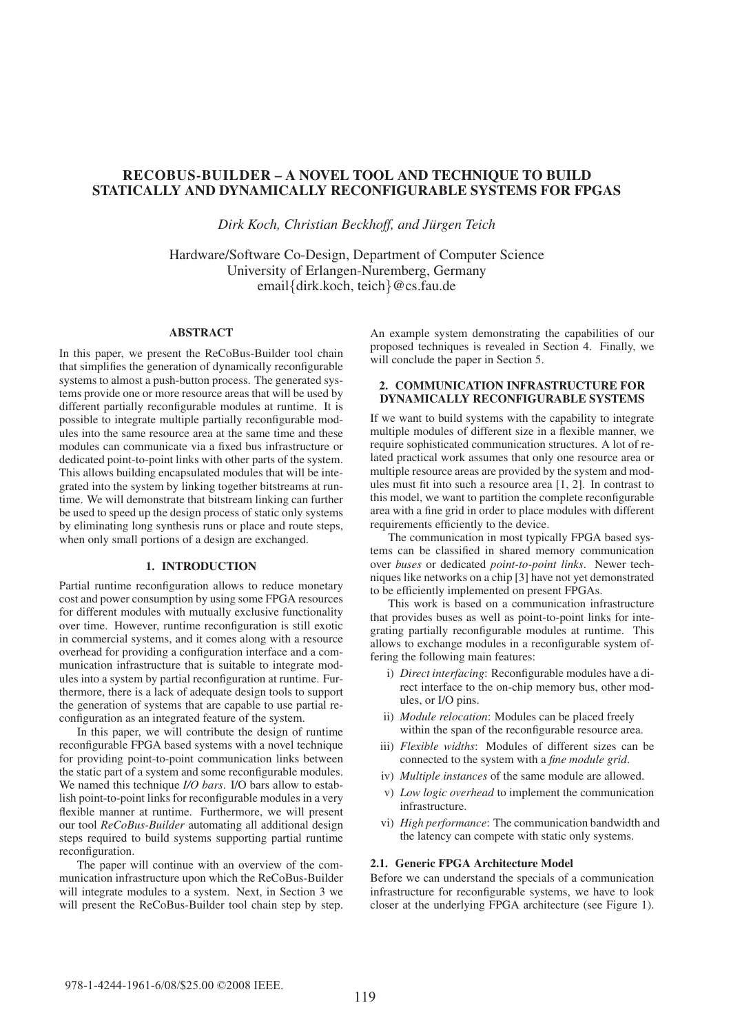# RECOBUS-BUILDER – A NOVEL TOOL AND TECHNIQUE TO BUILD STATICALLY AND DYNAMICALLY RECONFIGURABLE SYSTEMS FOR FPGAS

*Dirk Koch, Christian Beckhoff, and Jurgen Teich ¨*

Hardware/Software Co-Design, Department of Computer Science University of Erlangen-Nuremberg, Germany email{dirk.koch, teich}@cs.fau.de

#### ABSTRACT

In this paper, we present the ReCoBus-Builder tool chain that simplifies the generation of dynamically reconfigurable systems to almost a push-button process. The generated systems provide one or more resource areas that will be used by different partially reconfigurable modules at runtime. It is possible to integrate multiple partially reconfigurable modules into the same resource area at the same time and these modules can communicate via a fixed bus infrastructure or dedicated point-to-point links with other parts of the system. This allows building encapsulated modules that will be integrated into the system by linking together bitstreams at runtime. We will demonstrate that bitstream linking can further be used to speed up the design process of static only systems by eliminating long synthesis runs or place and route steps, when only small portions of a design are exchanged.

## 1. INTRODUCTION

Partial runtime reconfiguration allows to reduce monetary cost and power consumption by using some FPGA resources for different modules with mutually exclusive functionality over time. However, runtime reconfiguration is still exotic in commercial systems, and it comes along with a resource overhead for providing a configuration interface and a communication infrastructure that is suitable to integrate modules into a system by partial reconfiguration at runtime. Furthermore, there is a lack of adequate design tools to support the generation of systems that are capable to use partial reconfiguration as an integrated feature of the system.

In this paper, we will contribute the design of runtime reconfigurable FPGA based systems with a novel technique for providing point-to-point communication links between the static part of a system and some reconfigurable modules. We named this technique *I/O bars*. I/O bars allow to establish point-to-point links for reconfigurable modules in a very flexible manner at runtime. Furthermore, we will present our tool *ReCoBus-Builder* automating all additional design steps required to build systems supporting partial runtime reconfiguration.

The paper will continue with an overview of the communication infrastructure upon which the ReCoBus-Builder will integrate modules to a system. Next, in Section 3 we will present the ReCoBus-Builder tool chain step by step.

An example system demonstrating the capabilities of our proposed techniques is revealed in Section 4. Finally, we will conclude the paper in Section 5.

### 2. COMMUNICATION INFRASTRUCTURE FOR DYNAMICALLY RECONFIGURABLE SYSTEMS

If we want to build systems with the capability to integrate multiple modules of different size in a flexible manner, we require sophisticated communication structures. A lot of related practical work assumes that only one resource area or multiple resource areas are provided by the system and modules must fit into such a resource area [1, 2]. In contrast to this model, we want to partition the complete reconfigurable area with a fine grid in order to place modules with different requirements efficiently to the device.

The communication in most typically FPGA based systems can be classified in shared memory communication over *buses* or dedicated *point-to-point links*. Newer techniques like networks on a chip [3] have not yet demonstrated to be efficiently implemented on present FPGAs.

This work is based on a communication infrastructure that provides buses as well as point-to-point links for integrating partially reconfigurable modules at runtime. This allows to exchange modules in a reconfigurable system offering the following main features:

- i) *Direct interfacing*: Reconfigurable modules have a direct interface to the on-chip memory bus, other modules, or I/O pins.
- ii) *Module relocation*: Modules can be placed freely within the span of the reconfigurable resource area.
- iii) *Flexible widths*: Modules of different sizes can be connected to the system with a *fine module grid*.
- iv) *Multiple instances* of the same module are allowed.
- v) *Low logic overhead* to implement the communication infrastructure.
- vi) *High performance*: The communication bandwidth and the latency can compete with static only systems.

#### 2.1. Generic FPGA Architecture Model

Before we can understand the specials of a communication infrastructure for reconfigurable systems, we have to look closer at the underlying FPGA architecture (see Figure 1).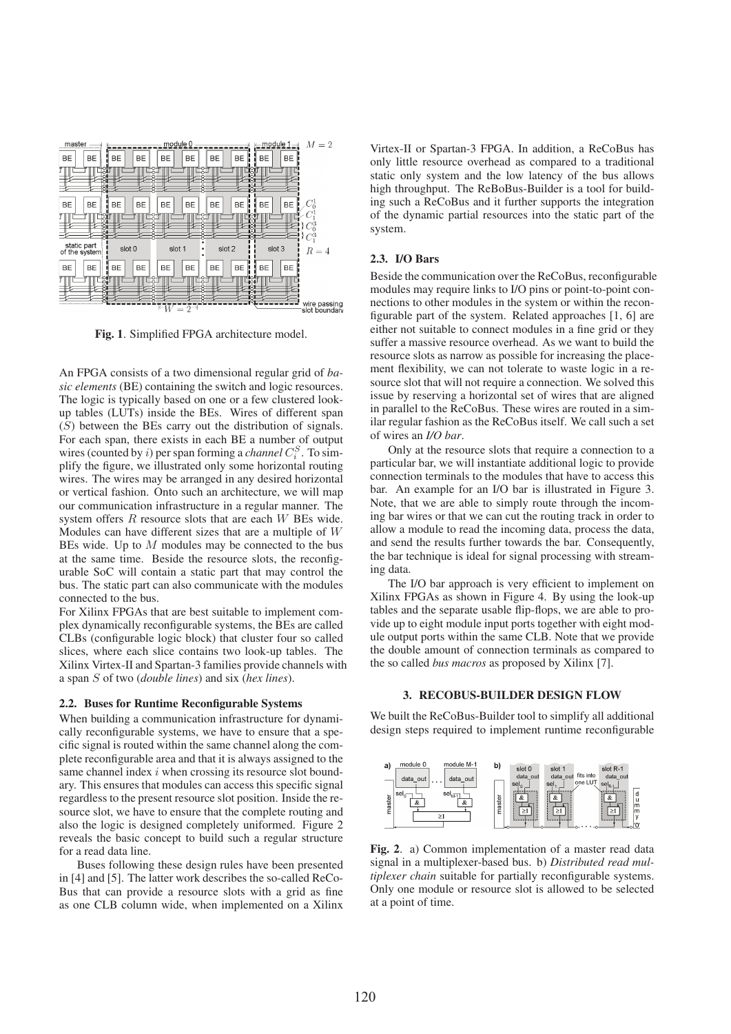| master    |                              | module 0  |    |           |                       |           |           | -module 1→<br>$M=2$ |           |                             |  |
|-----------|------------------------------|-----------|----|-----------|-----------------------|-----------|-----------|---------------------|-----------|-----------------------------|--|
| BE        | BE                           | BE        | BE | BE        | BE                    | BE        | BE        | BE                  | BE        |                             |  |
|           | ‰⊺                           |           |    | x         |                       | చి        |           |                     |           |                             |  |
|           |                              |           |    |           |                       |           |           |                     |           |                             |  |
| BE        | BE                           | <b>BE</b> | BE | BE        | BE                    | BE        | BE        | BE                  | <b>BE</b> | $C^1_0$                     |  |
|           | K                            |           |    | ≈         |                       |           |           |                     |           | $\frac{\gamma 3}{\sqrt{2}}$ |  |
|           |                              |           |    |           |                       |           |           |                     |           | $C_1^3$                     |  |
|           | static part<br>of the system | slot 0    |    |           | slot 1                |           | slot 2    | slot 3              |           | $R=4$                       |  |
| <b>BE</b> | BE                           | <b>BE</b> | BE | <b>BE</b> | <b>BE</b>             | <b>BE</b> | <b>BE</b> | <b>BE</b>           | <b>BE</b> |                             |  |
|           | 8                            |           |    | 8         |                       | 2         | -iōl      |                     |           |                             |  |
|           |                              |           |    |           |                       |           |           |                     |           | wire passing                |  |
|           |                              |           |    |           | $\overline{2}$<br>$=$ |           |           |                     |           | slot boundary               |  |

Fig. 1. Simplified FPGA architecture model.

An FPGA consists of a two dimensional regular grid of *basic elements* (BE) containing the switch and logic resources. The logic is typically based on one or a few clustered lookup tables (LUTs) inside the BEs. Wires of different span  $(S)$  between the BEs carry out the distribution of signals. For each span, there exists in each BE a number of output wires (counted by i) per span forming a *channel*  $C_i^S$ . To simplify the figure, we illustrated only some horizontal routing wires. The wires may be arranged in any desired horizontal or vertical fashion. Onto such an architecture, we will map our communication infrastructure in a regular manner. The system offers R resource slots that are each W BEs wide. Modules can have different sizes that are a multiple of W BEs wide. Up to  $M$  modules may be connected to the bus at the same time. Beside the resource slots, the reconfigurable SoC will contain a static part that may control the bus. The static part can also communicate with the modules connected to the bus.

For Xilinx FPGAs that are best suitable to implement complex dynamically reconfigurable systems, the BEs are called CLBs (configurable logic block) that cluster four so called slices, where each slice contains two look-up tables. The Xilinx Virtex-II and Spartan-3 families provide channels with a span S of two (*double lines*) and six (*hex lines*).

# 2.2. Buses for Runtime Reconfigurable Systems

When building a communication infrastructure for dynamically reconfigurable systems, we have to ensure that a specific signal is routed within the same channel along the complete reconfigurable area and that it is always assigned to the same channel index i when crossing its resource slot boundary. This ensures that modules can access this specific signal regardless to the present resource slot position. Inside the resource slot, we have to ensure that the complete routing and also the logic is designed completely uniformed. Figure 2 reveals the basic concept to build such a regular structure for a read data line.

Buses following these design rules have been presented in [4] and [5]. The latter work describes the so-called ReCo-Bus that can provide a resource slots with a grid as fine as one CLB column wide, when implemented on a Xilinx Virtex-II or Spartan-3 FPGA. In addition, a ReCoBus has only little resource overhead as compared to a traditional static only system and the low latency of the bus allows high throughput. The ReBoBus-Builder is a tool for building such a ReCoBus and it further supports the integration of the dynamic partial resources into the static part of the system.

# 2.3. I/O Bars

Beside the communication over the ReCoBus, reconfigurable modules may require links to I/O pins or point-to-point connections to other modules in the system or within the reconfigurable part of the system. Related approaches [1, 6] are either not suitable to connect modules in a fine grid or they suffer a massive resource overhead. As we want to build the resource slots as narrow as possible for increasing the placement flexibility, we can not tolerate to waste logic in a resource slot that will not require a connection. We solved this issue by reserving a horizontal set of wires that are aligned in parallel to the ReCoBus. These wires are routed in a similar regular fashion as the ReCoBus itself. We call such a set of wires an *I/O bar*.

Only at the resource slots that require a connection to a particular bar, we will instantiate additional logic to provide connection terminals to the modules that have to access this bar. An example for an I/O bar is illustrated in Figure 3. Note, that we are able to simply route through the incoming bar wires or that we can cut the routing track in order to allow a module to read the incoming data, process the data, and send the results further towards the bar. Consequently, the bar technique is ideal for signal processing with streaming data.

The I/O bar approach is very efficient to implement on Xilinx FPGAs as shown in Figure 4. By using the look-up tables and the separate usable flip-flops, we are able to provide up to eight module input ports together with eight module output ports within the same CLB. Note that we provide the double amount of connection terminals as compared to the so called *bus macros* as proposed by Xilinx [7].

### 3. RECOBUS-BUILDER DESIGN FLOW

We built the ReCoBus-Builder tool to simplify all additional design steps required to implement runtime reconfigurable



Fig. 2. a) Common implementation of a master read data signal in a multiplexer-based bus. b) *Distributed read multiplexer chain* suitable for partially reconfigurable systems. Only one module or resource slot is allowed to be selected at a point of time.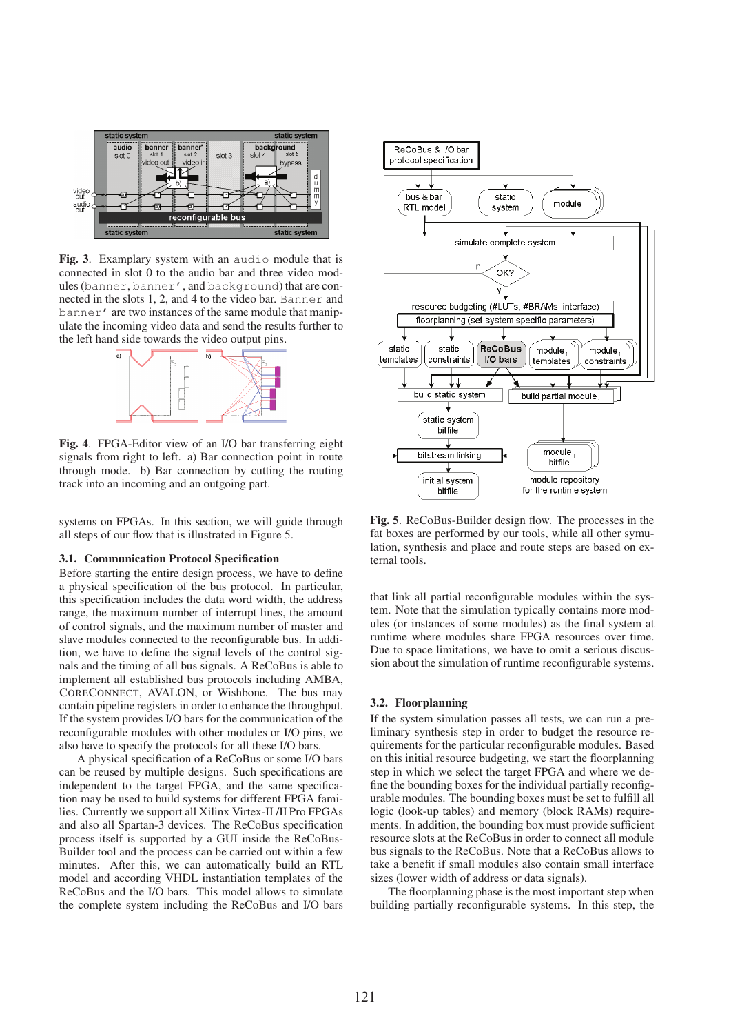

Fig. 3. Examplary system with an audio module that is connected in slot 0 to the audio bar and three video modules (banner, banner', and background) that are connected in the slots 1, 2, and 4 to the video bar. Banner and banner' are two instances of the same module that manipulate the incoming video data and send the results further to the left hand side towards the video output pins.



Fig. 4. FPGA-Editor view of an I/O bar transferring eight signals from right to left. a) Bar connection point in route through mode. b) Bar connection by cutting the routing track into an incoming and an outgoing part.

systems on FPGAs. In this section, we will guide through all steps of our flow that is illustrated in Figure 5.

# 3.1. Communication Protocol Specification

Before starting the entire design process, we have to define a physical specification of the bus protocol. In particular, this specification includes the data word width, the address range, the maximum number of interrupt lines, the amount of control signals, and the maximum number of master and slave modules connected to the reconfigurable bus. In addition, we have to define the signal levels of the control signals and the timing of all bus signals. A ReCoBus is able to implement all established bus protocols including AMBA, CORECONNECT, AVALON, or Wishbone. The bus may contain pipeline registers in order to enhance the throughput. If the system provides I/O bars for the communication of the reconfigurable modules with other modules or I/O pins, we also have to specify the protocols for all these I/O bars.

A physical specification of a ReCoBus or some I/O bars can be reused by multiple designs. Such specifications are independent to the target FPGA, and the same specification may be used to build systems for different FPGA families. Currently we support all Xilinx Virtex-II /II Pro FPGAs and also all Spartan-3 devices. The ReCoBus specification process itself is supported by a GUI inside the ReCoBus-Builder tool and the process can be carried out within a few minutes. After this, we can automatically build an RTL model and according VHDL instantiation templates of the ReCoBus and the I/O bars. This model allows to simulate the complete system including the ReCoBus and I/O bars



Fig. 5. ReCoBus-Builder design flow. The processes in the fat boxes are performed by our tools, while all other symulation, synthesis and place and route steps are based on external tools.

that link all partial reconfigurable modules within the system. Note that the simulation typically contains more modules (or instances of some modules) as the final system at runtime where modules share FPGA resources over time. Due to space limitations, we have to omit a serious discussion about the simulation of runtime reconfigurable systems.

#### 3.2. Floorplanning

If the system simulation passes all tests, we can run a preliminary synthesis step in order to budget the resource requirements for the particular reconfigurable modules. Based on this initial resource budgeting, we start the floorplanning step in which we select the target FPGA and where we define the bounding boxes for the individual partially reconfigurable modules. The bounding boxes must be set to fulfill all logic (look-up tables) and memory (block RAMs) requirements. In addition, the bounding box must provide sufficient resource slots at the ReCoBus in order to connect all module bus signals to the ReCoBus. Note that a ReCoBus allows to take a benefit if small modules also contain small interface sizes (lower width of address or data signals).

The floorplanning phase is the most important step when building partially reconfigurable systems. In this step, the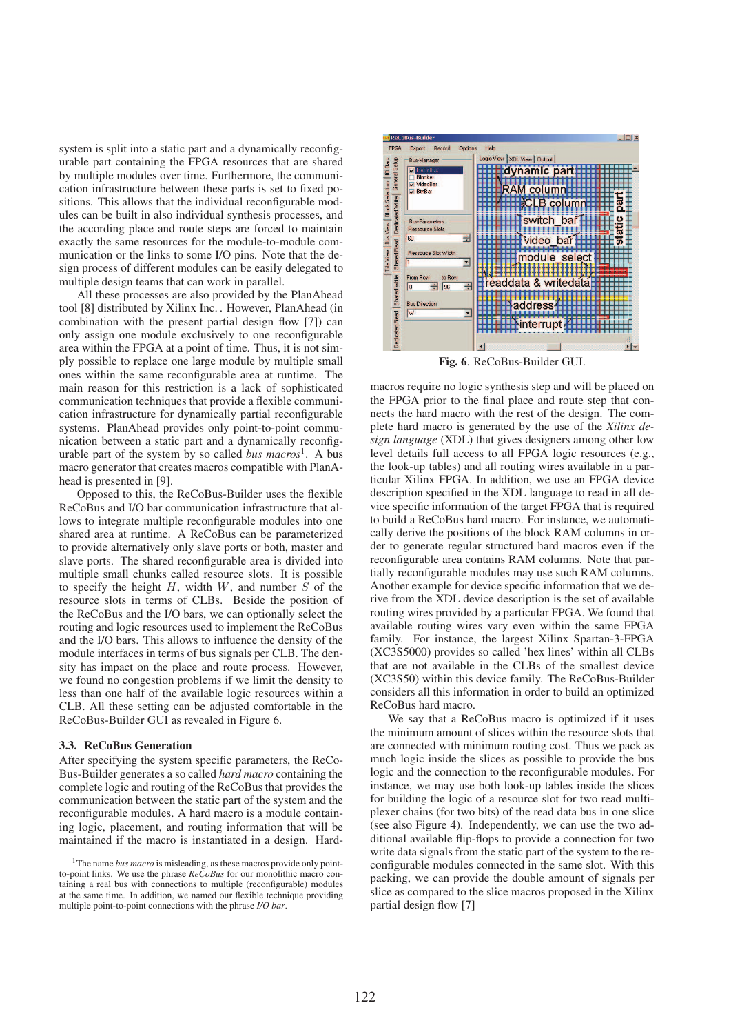system is split into a static part and a dynamically reconfigurable part containing the FPGA resources that are shared by multiple modules over time. Furthermore, the communication infrastructure between these parts is set to fixed positions. This allows that the individual reconfigurable modules can be built in also individual synthesis processes, and the according place and route steps are forced to maintain exactly the same resources for the module-to-module communication or the links to some I/O pins. Note that the design process of different modules can be easily delegated to multiple design teams that can work in parallel.

All these processes are also provided by the PlanAhead tool [8] distributed by Xilinx Inc. . However, PlanAhead (in combination with the present partial design flow [7]) can only assign one module exclusively to one reconfigurable area within the FPGA at a point of time. Thus, it is not simply possible to replace one large module by multiple small ones within the same reconfigurable area at runtime. The main reason for this restriction is a lack of sophisticated communication techniques that provide a flexible communication infrastructure for dynamically partial reconfigurable systems. PlanAhead provides only point-to-point communication between a static part and a dynamically reconfigurable part of the system by so called *bus macros*1. A bus macro generator that creates macros compatible with PlanAhead is presented in [9].

Opposed to this, the ReCoBus-Builder uses the flexible ReCoBus and I/O bar communication infrastructure that allows to integrate multiple reconfigurable modules into one shared area at runtime. A ReCoBus can be parameterized to provide alternatively only slave ports or both, master and slave ports. The shared reconfigurable area is divided into multiple small chunks called resource slots. It is possible to specify the height  $H$ , width  $W$ , and number  $\overline{S}$  of the resource slots in terms of CLBs. Beside the position of the ReCoBus and the I/O bars, we can optionally select the routing and logic resources used to implement the ReCoBus and the I/O bars. This allows to influence the density of the module interfaces in terms of bus signals per CLB. The density has impact on the place and route process. However, we found no congestion problems if we limit the density to less than one half of the available logic resources within a CLB. All these setting can be adjusted comfortable in the ReCoBus-Builder GUI as revealed in Figure 6.

#### 3.3. ReCoBus Generation

After specifying the system specific parameters, the ReCo-Bus-Builder generates a so called *hard macro* containing the complete logic and routing of the ReCoBus that provides the communication between the static part of the system and the reconfigurable modules. A hard macro is a module containing logic, placement, and routing information that will be maintained if the macro is instantiated in a design. Hard-



macros require no logic synthesis step and will be placed on the FPGA prior to the final place and route step that connects the hard macro with the rest of the design. The complete hard macro is generated by the use of the *Xilinx design language* (XDL) that gives designers among other low level details full access to all FPGA logic resources (e.g., the look-up tables) and all routing wires available in a particular Xilinx FPGA. In addition, we use an FPGA device description specified in the XDL language to read in all device specific information of the target FPGA that is required to build a ReCoBus hard macro. For instance, we automatically derive the positions of the block RAM columns in order to generate regular structured hard macros even if the reconfigurable area contains RAM columns. Note that partially reconfigurable modules may use such RAM columns. Another example for device specific information that we derive from the XDL device description is the set of available routing wires provided by a particular FPGA. We found that available routing wires vary even within the same FPGA family. For instance, the largest Xilinx Spartan-3-FPGA (XC3S5000) provides so called 'hex lines' within all CLBs that are not available in the CLBs of the smallest device (XC3S50) within this device family. The ReCoBus-Builder considers all this information in order to build an optimized ReCoBus hard macro.

We say that a ReCoBus macro is optimized if it uses the minimum amount of slices within the resource slots that are connected with minimum routing cost. Thus we pack as much logic inside the slices as possible to provide the bus logic and the connection to the reconfigurable modules. For instance, we may use both look-up tables inside the slices for building the logic of a resource slot for two read multiplexer chains (for two bits) of the read data bus in one slice (see also Figure 4). Independently, we can use the two additional available flip-flops to provide a connection for two write data signals from the static part of the system to the reconfigurable modules connected in the same slot. With this packing, we can provide the double amount of signals per slice as compared to the slice macros proposed in the Xilinx partial design flow [7]

<sup>&</sup>lt;sup>1</sup>The name *bus macro* is misleading, as these macros provide only pointto-point links. We use the phrase *ReCoBus* for our monolithic macro containing a real bus with connections to multiple (reconfigurable) modules at the same time. In addition, we named our flexible technique providing multiple point-to-point connections with the phrase *I/O bar*.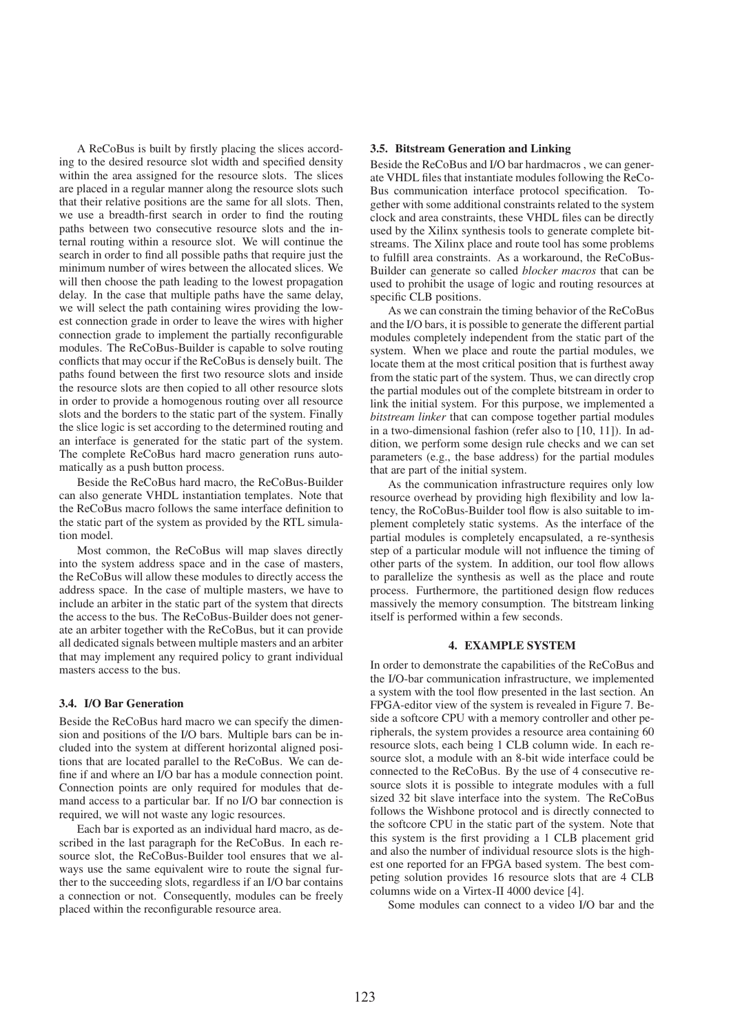A ReCoBus is built by firstly placing the slices according to the desired resource slot width and specified density within the area assigned for the resource slots. The slices are placed in a regular manner along the resource slots such that their relative positions are the same for all slots. Then, we use a breadth-first search in order to find the routing paths between two consecutive resource slots and the internal routing within a resource slot. We will continue the search in order to find all possible paths that require just the minimum number of wires between the allocated slices. We will then choose the path leading to the lowest propagation delay. In the case that multiple paths have the same delay, we will select the path containing wires providing the lowest connection grade in order to leave the wires with higher connection grade to implement the partially reconfigurable modules. The ReCoBus-Builder is capable to solve routing conflicts that may occur if the ReCoBus is densely built. The paths found between the first two resource slots and inside the resource slots are then copied to all other resource slots in order to provide a homogenous routing over all resource slots and the borders to the static part of the system. Finally the slice logic is set according to the determined routing and an interface is generated for the static part of the system. The complete ReCoBus hard macro generation runs automatically as a push button process.

Beside the ReCoBus hard macro, the ReCoBus-Builder can also generate VHDL instantiation templates. Note that the ReCoBus macro follows the same interface definition to the static part of the system as provided by the RTL simulation model.

Most common, the ReCoBus will map slaves directly into the system address space and in the case of masters, the ReCoBus will allow these modules to directly access the address space. In the case of multiple masters, we have to include an arbiter in the static part of the system that directs the access to the bus. The ReCoBus-Builder does not generate an arbiter together with the ReCoBus, but it can provide all dedicated signals between multiple masters and an arbiter that may implement any required policy to grant individual masters access to the bus.

# 3.4. I/O Bar Generation

Beside the ReCoBus hard macro we can specify the dimension and positions of the I/O bars. Multiple bars can be included into the system at different horizontal aligned positions that are located parallel to the ReCoBus. We can define if and where an I/O bar has a module connection point. Connection points are only required for modules that demand access to a particular bar. If no I/O bar connection is required, we will not waste any logic resources.

Each bar is exported as an individual hard macro, as described in the last paragraph for the ReCoBus. In each resource slot, the ReCoBus-Builder tool ensures that we always use the same equivalent wire to route the signal further to the succeeding slots, regardless if an I/O bar contains a connection or not. Consequently, modules can be freely placed within the reconfigurable resource area.

#### 3.5. Bitstream Generation and Linking

Beside the ReCoBus and I/O bar hardmacros , we can generate VHDL files that instantiate modules following the ReCo-Bus communication interface protocol specification. Together with some additional constraints related to the system clock and area constraints, these VHDL files can be directly used by the Xilinx synthesis tools to generate complete bitstreams. The Xilinx place and route tool has some problems to fulfill area constraints. As a workaround, the ReCoBus-Builder can generate so called *blocker macros* that can be used to prohibit the usage of logic and routing resources at specific CLB positions.

As we can constrain the timing behavior of the ReCoBus and the I/O bars, it is possible to generate the different partial modules completely independent from the static part of the system. When we place and route the partial modules, we locate them at the most critical position that is furthest away from the static part of the system. Thus, we can directly crop the partial modules out of the complete bitstream in order to link the initial system. For this purpose, we implemented a *bitstream linker* that can compose together partial modules in a two-dimensional fashion (refer also to [10, 11]). In addition, we perform some design rule checks and we can set parameters (e.g., the base address) for the partial modules that are part of the initial system.

As the communication infrastructure requires only low resource overhead by providing high flexibility and low latency, the RoCoBus-Builder tool flow is also suitable to implement completely static systems. As the interface of the partial modules is completely encapsulated, a re-synthesis step of a particular module will not influence the timing of other parts of the system. In addition, our tool flow allows to parallelize the synthesis as well as the place and route process. Furthermore, the partitioned design flow reduces massively the memory consumption. The bitstream linking itself is performed within a few seconds.

# 4. EXAMPLE SYSTEM

In order to demonstrate the capabilities of the ReCoBus and the I/O-bar communication infrastructure, we implemented a system with the tool flow presented in the last section. An FPGA-editor view of the system is revealed in Figure 7. Beside a softcore CPU with a memory controller and other peripherals, the system provides a resource area containing 60 resource slots, each being 1 CLB column wide. In each resource slot, a module with an 8-bit wide interface could be connected to the ReCoBus. By the use of 4 consecutive resource slots it is possible to integrate modules with a full sized 32 bit slave interface into the system. The ReCoBus follows the Wishbone protocol and is directly connected to the softcore CPU in the static part of the system. Note that this system is the first providing a 1 CLB placement grid and also the number of individual resource slots is the highest one reported for an FPGA based system. The best competing solution provides 16 resource slots that are 4 CLB columns wide on a Virtex-II 4000 device [4].

Some modules can connect to a video I/O bar and the